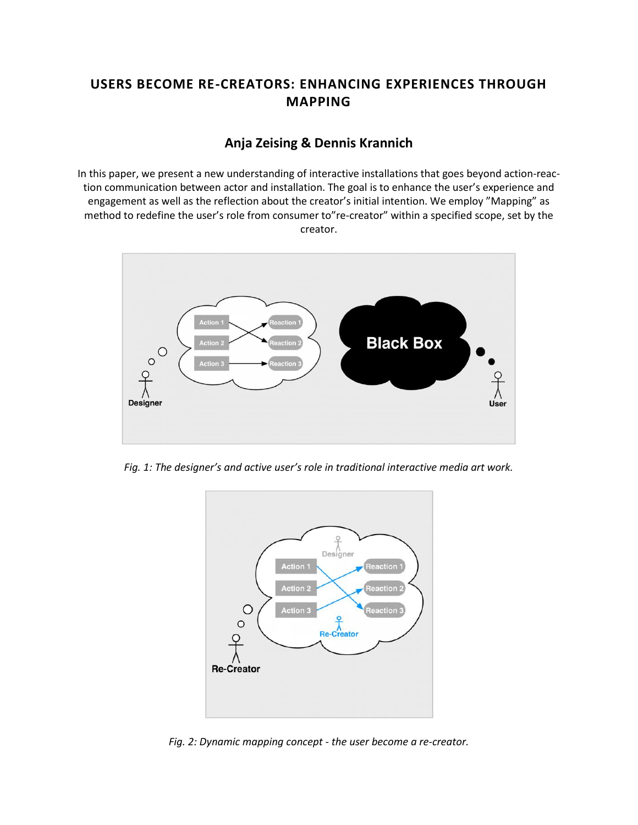# **USERS BECOME RE-CREATORS: ENHANCING EXPERIENCES THROUGH MAPPING**

## **Anja Zeising & Dennis Krannich**

In this paper, we present a new understanding of interactive installations that goes beyond action-reaction communication between actor and installation. The goal is to enhance the user's experience and engagement as well as the reflection about the creator's initial intention. We employ "Mapping" as method to redefine the user's role from consumer to"re-creator" within a specified scope, set by the creator.



*Fig. 1: The designer's and active user's role in traditional interactive media art work.*



*Fig. 2: Dynamic mapping concept - the user become a re-creator.*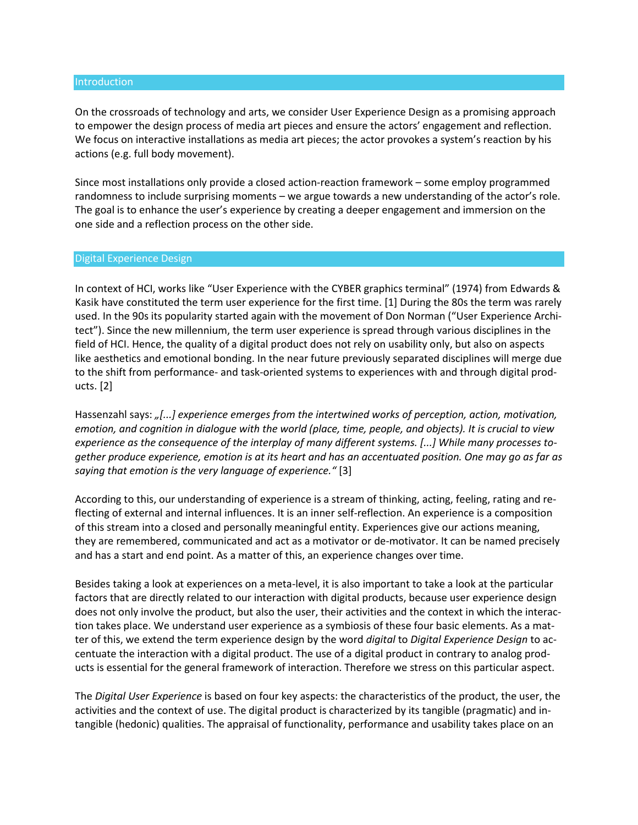#### Introduction

On the crossroads of technology and arts, we consider User Experience Design as a promising approach to empower the design process of media art pieces and ensure the actors' engagement and reflection. We focus on interactive installations as media art pieces; the actor provokes a system's reaction by his actions (e.g. full body movement).

Since most installations only provide a closed action-reaction framework – some employ programmed randomness to include surprising moments – we argue towards a new understanding of the actor's role. The goal is to enhance the user's experience by creating a deeper engagement and immersion on the one side and a reflection process on the other side.

#### Digital Experience Design

In context of HCI, works like "User Experience with the CYBER graphics terminal" (1974) from Edwards & Kasik have constituted the term user experience for the first time. [1] During the 80s the term was rarely used. In the 90s its popularity started again with the movement of Don Norman ("User Experience Architect"). Since the new millennium, the term user experience is spread through various disciplines in the field of HCI. Hence, the quality of a digital product does not rely on usability only, but also on aspects like aesthetics and emotional bonding. In the near future previously separated disciplines will merge due to the shift from performance- and task-oriented systems to experiences with and through digital products. [2]

Hassenzahl says: *"[...] experience emerges from the intertwined works of perception, action, motivation, emotion, and cognition in dialogue with the world (place, time, people, and objects). It is crucial to view experience as the consequence of the interplay of many different systems. [...] While many processes together produce experience, emotion is at its heart and has an accentuated position. One may go as far as saying that emotion is the very language of experience."* [3]

According to this, our understanding of experience is a stream of thinking, acting, feeling, rating and reflecting of external and internal influences. It is an inner self-reflection. An experience is a composition of this stream into a closed and personally meaningful entity. Experiences give our actions meaning, they are remembered, communicated and act as a motivator or de-motivator. It can be named precisely and has a start and end point. As a matter of this, an experience changes over time.

Besides taking a look at experiences on a meta-level, it is also important to take a look at the particular factors that are directly related to our interaction with digital products, because user experience design does not only involve the product, but also the user, their activities and the context in which the interaction takes place. We understand user experience as a symbiosis of these four basic elements. As a matter of this, we extend the term experience design by the word *digital* to *Digital Experience Design* to accentuate the interaction with a digital product. The use of a digital product in contrary to analog products is essential for the general framework of interaction. Therefore we stress on this particular aspect.

The *Digital User Experience* is based on four key aspects: the characteristics of the product, the user, the activities and the context of use. The digital product is characterized by its tangible (pragmatic) and intangible (hedonic) qualities. The appraisal of functionality, performance and usability takes place on an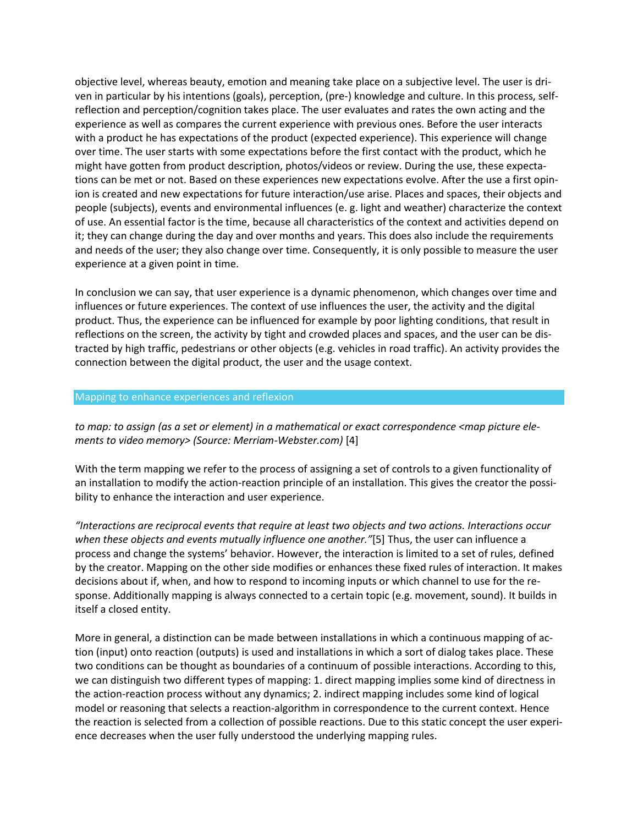objective level, whereas beauty, emotion and meaning take place on a subjective level. The user is driven in particular by his intentions (goals), perception, (pre-) knowledge and culture. In this process, selfreflection and perception/cognition takes place. The user evaluates and rates the own acting and the experience as well as compares the current experience with previous ones. Before the user interacts with a product he has expectations of the product (expected experience). This experience will change over time. The user starts with some expectations before the first contact with the product, which he might have gotten from product description, photos/videos or review. During the use, these expectations can be met or not. Based on these experiences new expectations evolve. After the use a first opinion is created and new expectations for future interaction/use arise. Places and spaces, their objects and people (subjects), events and environmental influences (e. g. light and weather) characterize the context of use. An essential factor is the time, because all characteristics of the context and activities depend on it; they can change during the day and over months and years. This does also include the requirements and needs of the user; they also change over time. Consequently, it is only possible to measure the user experience at a given point in time.

In conclusion we can say, that user experience is a dynamic phenomenon, which changes over time and influences or future experiences. The context of use influences the user, the activity and the digital product. Thus, the experience can be influenced for example by poor lighting conditions, that result in reflections on the screen, the activity by tight and crowded places and spaces, and the user can be distracted by high traffic, pedestrians or other objects (e.g. vehicles in road traffic). An activity provides the connection between the digital product, the user and the usage context.

#### Mapping to enhance experiences and reflexion

*to map: to assign (as a set or element) in a mathematical or exact correspondence <map picture elements to video memory> (Source: Merriam-Webster.com)* [4]

With the term mapping we refer to the process of assigning a set of controls to a given functionality of an installation to modify the action-reaction principle of an installation. This gives the creator the possibility to enhance the interaction and user experience.

*"Interactions are reciprocal events that require at least two objects and two actions. Interactions occur when these objects and events mutually influence one another."*[5] Thus, the user can influence a process and change the systems' behavior. However, the interaction is limited to a set of rules, defined by the creator. Mapping on the other side modifies or enhances these fixed rules of interaction. It makes decisions about if, when, and how to respond to incoming inputs or which channel to use for the response. Additionally mapping is always connected to a certain topic (e.g. movement, sound). It builds in itself a closed entity.

More in general, a distinction can be made between installations in which a continuous mapping of action (input) onto reaction (outputs) is used and installations in which a sort of dialog takes place. These two conditions can be thought as boundaries of a continuum of possible interactions. According to this, we can distinguish two different types of mapping: 1. direct mapping implies some kind of directness in the action-reaction process without any dynamics; 2. indirect mapping includes some kind of logical model or reasoning that selects a reaction-algorithm in correspondence to the current context. Hence the reaction is selected from a collection of possible reactions. Due to this static concept the user experience decreases when the user fully understood the underlying mapping rules.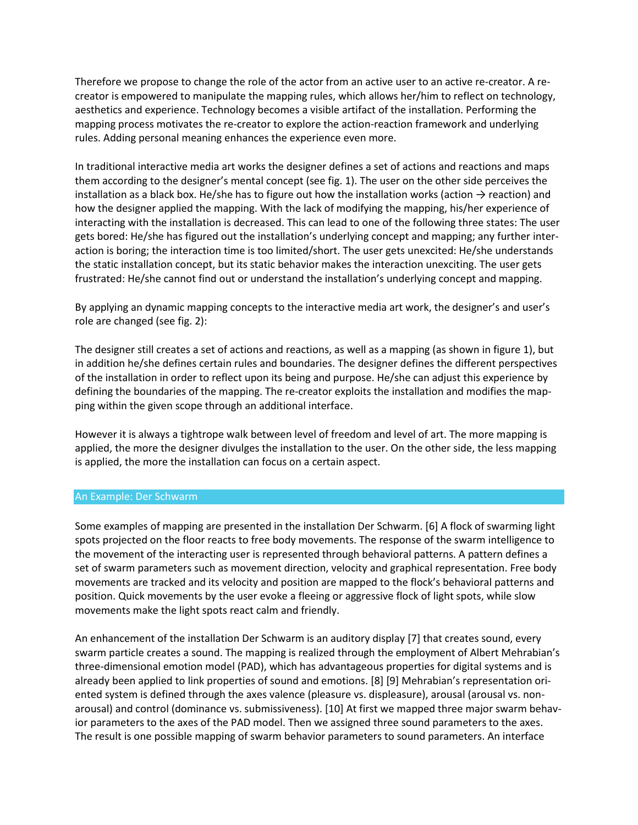Therefore we propose to change the role of the actor from an active user to an active re-creator. A recreator is empowered to manipulate the mapping rules, which allows her/him to reflect on technology, aesthetics and experience. Technology becomes a visible artifact of the installation. Performing the mapping process motivates the re-creator to explore the action-reaction framework and underlying rules. Adding personal meaning enhances the experience even more.

In traditional interactive media art works the designer defines a set of actions and reactions and maps them according to the designer's mental concept (see fig. 1). The user on the other side perceives the installation as a black box. He/she has to figure out how the installation works (action  $\rightarrow$  reaction) and how the designer applied the mapping. With the lack of modifying the mapping, his/her experience of interacting with the installation is decreased. This can lead to one of the following three states: The user gets bored: He/she has figured out the installation's underlying concept and mapping; any further interaction is boring; the interaction time is too limited/short. The user gets unexcited: He/she understands the static installation concept, but its static behavior makes the interaction unexciting. The user gets frustrated: He/she cannot find out or understand the installation's underlying concept and mapping.

By applying an dynamic mapping concepts to the interactive media art work, the designer's and user's role are changed (see fig. 2):

The designer still creates a set of actions and reactions, as well as a mapping (as shown in figure 1), but in addition he/she defines certain rules and boundaries. The designer defines the different perspectives of the installation in order to reflect upon its being and purpose. He/she can adjust this experience by defining the boundaries of the mapping. The re-creator exploits the installation and modifies the mapping within the given scope through an additional interface.

However it is always a tightrope walk between level of freedom and level of art. The more mapping is applied, the more the designer divulges the installation to the user. On the other side, the less mapping is applied, the more the installation can focus on a certain aspect.

#### An Example: Der Schwarm

Some examples of mapping are presented in the installation Der Schwarm. [6] A flock of swarming light spots projected on the floor reacts to free body movements. The response of the swarm intelligence to the movement of the interacting user is represented through behavioral patterns. A pattern defines a set of swarm parameters such as movement direction, velocity and graphical representation. Free body movements are tracked and its velocity and position are mapped to the flock's behavioral patterns and position. Quick movements by the user evoke a fleeing or aggressive flock of light spots, while slow movements make the light spots react calm and friendly.

An enhancement of the installation Der Schwarm is an auditory display [7] that creates sound, every swarm particle creates a sound. The mapping is realized through the employment of Albert Mehrabian's three-dimensional emotion model (PAD), which has advantageous properties for digital systems and is already been applied to link properties of sound and emotions. [8] [9] Mehrabian's representation oriented system is defined through the axes valence (pleasure vs. displeasure), arousal (arousal vs. nonarousal) and control (dominance vs. submissiveness). [10] At first we mapped three major swarm behavior parameters to the axes of the PAD model. Then we assigned three sound parameters to the axes. The result is one possible mapping of swarm behavior parameters to sound parameters. An interface